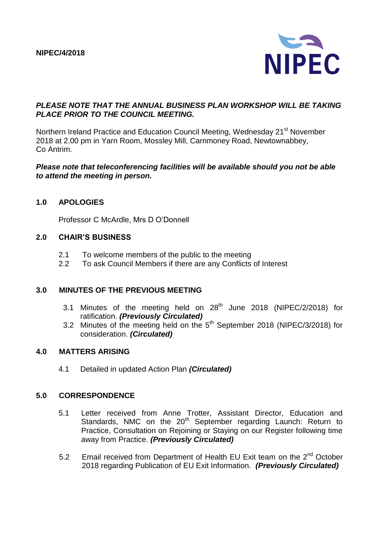

### *PLEASE NOTE THAT THE ANNUAL BUSINESS PLAN WORKSHOP WILL BE TAKING PLACE PRIOR TO THE COUNCIL MEETING.*

Northern Ireland Practice and Education Council Meeting, Wednesday 21<sup>st</sup> November 2018 at 2.00 pm in Yarn Room, Mossley Mill, Carnmoney Road, Newtownabbey, Co Antrim.

### *Please note that teleconferencing facilities will be available should you not be able to attend the meeting in person.*

### **1.0 APOLOGIES**

Professor C McArdle, Mrs D O'Donnell

#### **2.0 CHAIR'S BUSINESS**

- 2.1 To welcome members of the public to the meeting
- 2.2 To ask Council Members if there are any Conflicts of Interest

#### **3.0 MINUTES OF THE PREVIOUS MEETING**

- 3.1 Minutes of the meeting held on  $28<sup>th</sup>$  June 2018 (NIPEC/2/2018) for ratification. *(Previously Circulated)*
- 3.2 Minutes of the meeting held on the  $5<sup>th</sup>$  September 2018 (NIPEC/3/2018) for consideration. *(Circulated)*

### **4.0 MATTERS ARISING**

4.1 Detailed in updated Action Plan *(Circulated)*

#### **5.0 CORRESPONDENCE**

- 5.1 Letter received from Anne Trotter, Assistant Director, Education and Standards, NMC on the 20<sup>th</sup> September regarding Launch: Return to Practice, Consultation on Rejoining or Staying on our Register following time away from Practice. *(Previously Circulated)*
- 5.2 Email received from Department of Health EU Exit team on the 2<sup>nd</sup> October 2018 regarding Publication of EU Exit Information. *(Previously Circulated)*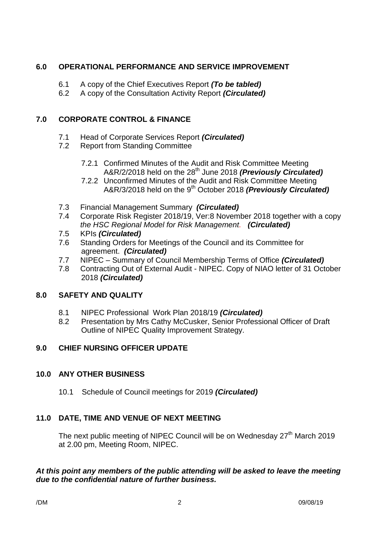# **6.0 OPERATIONAL PERFORMANCE AND SERVICE IMPROVEMENT**

- 6.1 A copy of the Chief Executives Report *(To be tabled)*
- 6.2 A copy of the Consultation Activity Report *(Circulated)*

# **7.0 CORPORATE CONTROL & FINANCE**

- 7.1 Head of Corporate Services Report *(Circulated)*
- 7.2 Report from Standing Committee
	- 7.2.1 Confirmed Minutes of the Audit and Risk Committee Meeting A&R/2/2018 held on the 28th June 2018 *(Previously Circulated)*
	- 7.2.2 Unconfirmed Minutes of the Audit and Risk Committee Meeting A&R/3/2018 held on the 9th October 2018 *(Previously Circulated)*
- 7.3 Financial Management Summary *(Circulated)*
- 7.4 Corporate Risk Register 2018/19, Ver:8 November 2018 together with a copy *the HSC Regional Model for Risk Management. (Circulated)*
- 7.5 KPIs *(Circulated)*
- 7.6 Standing Orders for Meetings of the Council and its Committee for agreement. *(Circulated)*
- 7.7 NIPEC Summary of Council Membership Terms of Office *(Circulated)*
- 7.8 Contracting Out of External Audit NIPEC. Copy of NIAO letter of 31 October 2018 *(Circulated)*

## **8.0 SAFETY AND QUALITY**

- 8.1 NIPEC Professional Work Plan 2018/19 *(Circulated)*
- 8.2 Presentation by Mrs Cathy McCusker, Senior Professional Officer of Draft Outline of NIPEC Quality Improvement Strategy.

# **9.0 CHIEF NURSING OFFICER UPDATE**

## **10.0 ANY OTHER BUSINESS**

10.1 Schedule of Council meetings for 2019 *(Circulated)*

# **11.0 DATE, TIME AND VENUE OF NEXT MEETING**

The next public meeting of NIPEC Council will be on Wednesday  $27<sup>th</sup>$  March 2019 at 2.00 pm, Meeting Room, NIPEC.

## *At this point any members of the public attending will be asked to leave the meeting due to the confidential nature of further business.*